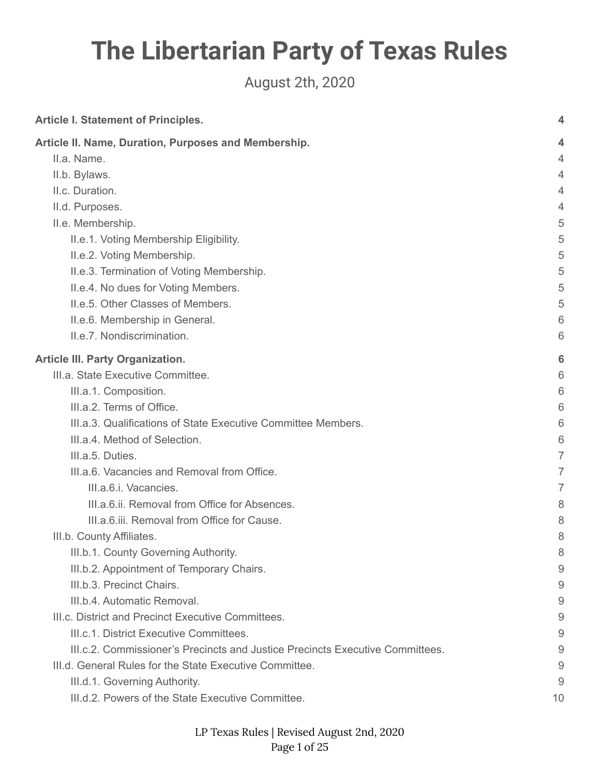# **The Libertarian Party of Texas Rules**

August 2th, 2020

| <b>Article I. Statement of Principles.</b>                                    | 4  |
|-------------------------------------------------------------------------------|----|
| Article II. Name, Duration, Purposes and Membership.                          | 4  |
| II.a. Name.                                                                   | 4  |
| II.b. Bylaws.                                                                 | 4  |
| II.c. Duration.                                                               | 4  |
| II.d. Purposes.                                                               | 4  |
| II.e. Membership.                                                             | 5  |
| II.e.1. Voting Membership Eligibility.                                        | 5  |
| II.e.2. Voting Membership.                                                    | 5  |
| II.e.3. Termination of Voting Membership.                                     | 5  |
| II.e.4. No dues for Voting Members.                                           | 5  |
| II.e.5. Other Classes of Members.                                             | 5  |
| II.e.6. Membership in General.                                                | 6  |
| II.e.7. Nondiscrimination.                                                    | 6  |
| <b>Article III. Party Organization.</b>                                       | 6  |
| III.a. State Executive Committee.                                             | 6  |
| III.a.1. Composition.                                                         | 6  |
| III.a.2. Terms of Office.                                                     | 6  |
| III.a.3. Qualifications of State Executive Committee Members.                 | 6  |
| III.a.4. Method of Selection.                                                 | 6  |
| III.a.5. Duties.                                                              | 7  |
| III.a.6. Vacancies and Removal from Office.                                   | 7  |
| III.a.6.i. Vacancies.                                                         | 7  |
| III.a.6.ii. Removal from Office for Absences.                                 | 8  |
| III.a.6.iii. Removal from Office for Cause.                                   | 8  |
| III.b. County Affiliates.                                                     | 8  |
| III.b.1. County Governing Authority.                                          | 8  |
| III.b.2. Appointment of Temporary Chairs.                                     | 9  |
| III.b.3. Precinct Chairs.                                                     | 9  |
| III.b.4. Automatic Removal.                                                   | 9  |
| III.c. District and Precinct Executive Committees.                            | 9  |
| III.c.1. District Executive Committees.                                       | 9  |
| III.c.2. Commissioner's Precincts and Justice Precincts Executive Committees. | 9  |
| III.d. General Rules for the State Executive Committee.                       | 9  |
| III.d.1. Governing Authority.                                                 | 9  |
| III.d.2. Powers of the State Executive Committee.                             | 10 |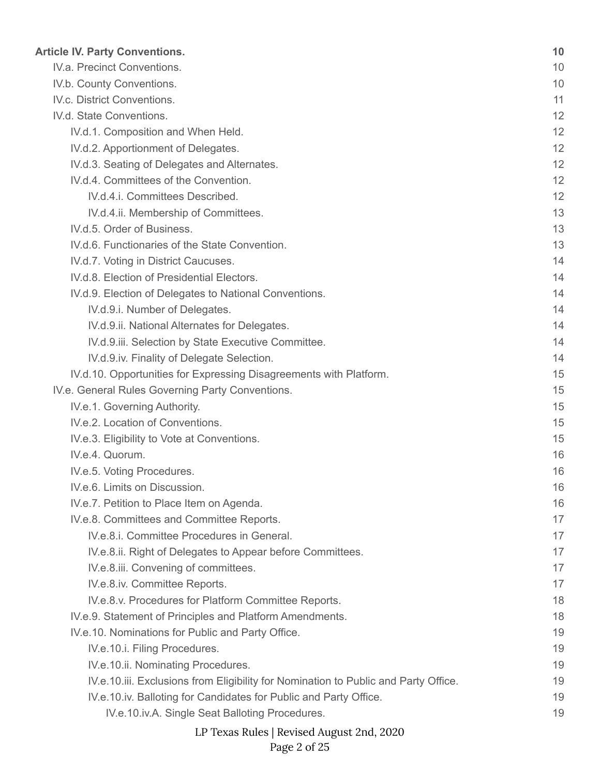| <b>Article IV. Party Conventions.</b>                                               | 10 |
|-------------------------------------------------------------------------------------|----|
| IV.a. Precinct Conventions.                                                         | 10 |
| IV.b. County Conventions.                                                           | 10 |
| IV.c. District Conventions.                                                         | 11 |
| IV.d. State Conventions.                                                            | 12 |
| IV.d.1. Composition and When Held.                                                  | 12 |
| IV.d.2. Apportionment of Delegates.                                                 | 12 |
| IV.d.3. Seating of Delegates and Alternates.                                        | 12 |
| IV.d.4. Committees of the Convention.                                               | 12 |
| IV.d.4.i. Committees Described.                                                     | 12 |
| IV.d.4.ii. Membership of Committees.                                                | 13 |
| IV.d.5. Order of Business.                                                          | 13 |
| IV.d.6. Functionaries of the State Convention.                                      | 13 |
| IV.d.7. Voting in District Caucuses.                                                | 14 |
| IV.d.8. Election of Presidential Electors.                                          | 14 |
| IV.d.9. Election of Delegates to National Conventions.                              | 14 |
| IV.d.9.i. Number of Delegates.                                                      | 14 |
| IV.d.9.ii. National Alternates for Delegates.                                       | 14 |
| IV.d.9.iii. Selection by State Executive Committee.                                 | 14 |
| IV.d.9.iv. Finality of Delegate Selection.                                          | 14 |
| IV.d.10. Opportunities for Expressing Disagreements with Platform.                  | 15 |
| IV.e. General Rules Governing Party Conventions.                                    | 15 |
| IV.e.1. Governing Authority.                                                        | 15 |
| IV.e.2. Location of Conventions.                                                    | 15 |
| IV.e.3. Eligibility to Vote at Conventions.                                         | 15 |
| IV.e.4. Quorum.                                                                     | 16 |
| IV.e.5. Voting Procedures.                                                          | 16 |
| IV.e.6. Limits on Discussion.                                                       | 16 |
| IV.e.7. Petition to Place Item on Agenda.                                           | 16 |
| IV.e.8. Committees and Committee Reports.                                           | 17 |
| IV.e.8.i. Committee Procedures in General.                                          | 17 |
| IV.e.8.ii. Right of Delegates to Appear before Committees.                          | 17 |
| IV.e.8.iii. Convening of committees.                                                | 17 |
| IV.e.8.iv. Committee Reports.                                                       | 17 |
| IV.e.8.v. Procedures for Platform Committee Reports.                                | 18 |
| IV.e.9. Statement of Principles and Platform Amendments.                            | 18 |
| IV.e.10. Nominations for Public and Party Office.                                   | 19 |
| IV.e.10.i. Filing Procedures.                                                       | 19 |
| IV.e.10.ii. Nominating Procedures.                                                  | 19 |
| IV.e.10.iii. Exclusions from Eligibility for Nomination to Public and Party Office. | 19 |
| IV.e.10.iv. Balloting for Candidates for Public and Party Office.                   | 19 |
| IV.e.10.iv.A. Single Seat Balloting Procedures.                                     | 19 |
| LP Texas Rules   Revised August 2nd, 2020                                           |    |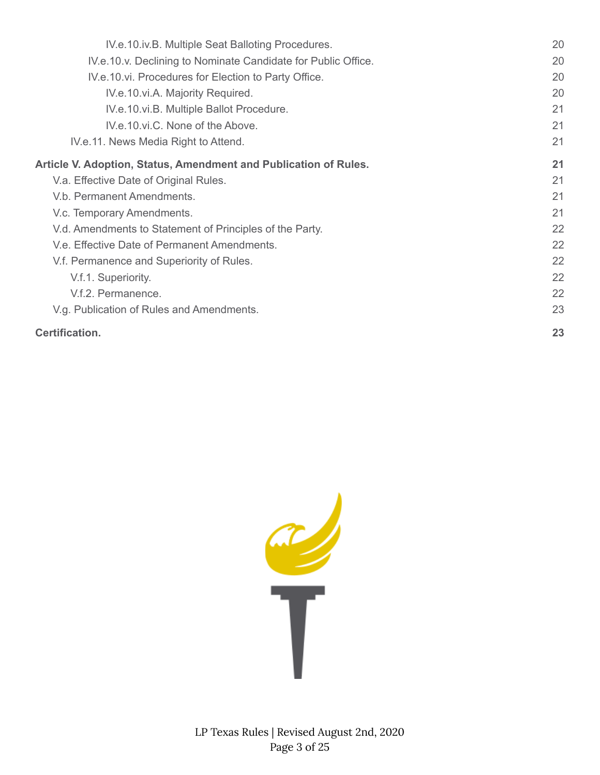| IV.e.10.iv.B. Multiple Seat Balloting Procedures.                | 20 |
|------------------------------------------------------------------|----|
| IV.e.10.v. Declining to Nominate Candidate for Public Office.    | 20 |
| IV.e.10.vi. Procedures for Election to Party Office.             | 20 |
| IV.e.10.vi.A. Majority Required.                                 | 20 |
| IV.e.10.vi.B. Multiple Ballot Procedure.                         | 21 |
| IV.e.10.vi.C. None of the Above.                                 | 21 |
| IV.e.11. News Media Right to Attend.                             | 21 |
| Article V. Adoption, Status, Amendment and Publication of Rules. | 21 |
| V.a. Effective Date of Original Rules.                           | 21 |
| V.b. Permanent Amendments.                                       | 21 |
| V.c. Temporary Amendments.                                       | 21 |
| V.d. Amendments to Statement of Principles of the Party.         | 22 |
| V.e. Effective Date of Permanent Amendments.                     | 22 |
| V.f. Permanence and Superiority of Rules.                        | 22 |
| V.f.1. Superiority.                                              | 22 |
| V.f.2. Permanence.                                               | 22 |
| V.g. Publication of Rules and Amendments.                        | 23 |
| <b>Certification.</b>                                            | 23 |

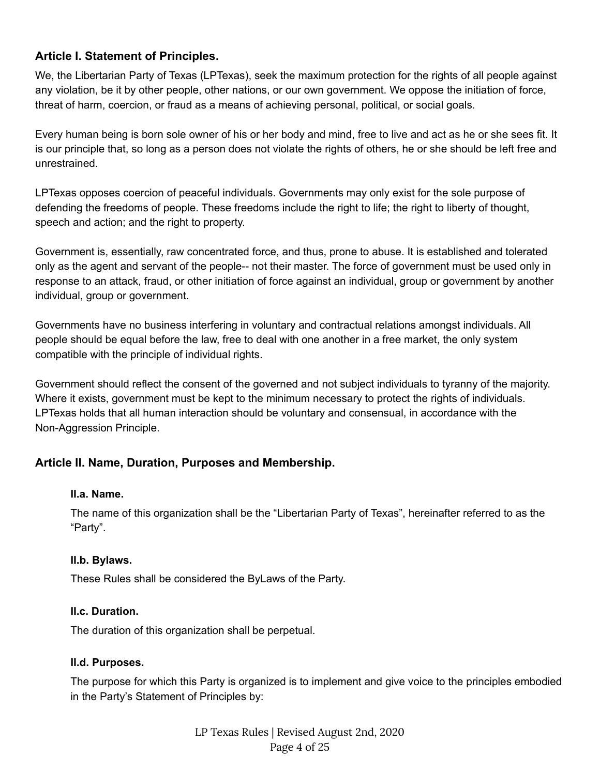# <span id="page-3-0"></span>**Article I. Statement of Principles.**

We, the Libertarian Party of Texas (LPTexas), seek the maximum protection for the rights of all people against any violation, be it by other people, other nations, or our own government. We oppose the initiation of force, threat of harm, coercion, or fraud as a means of achieving personal, political, or social goals.

Every human being is born sole owner of his or her body and mind, free to live and act as he or she sees fit. It is our principle that, so long as a person does not violate the rights of others, he or she should be left free and unrestrained.

LPTexas opposes coercion of peaceful individuals. Governments may only exist for the sole purpose of defending the freedoms of people. These freedoms include the right to life; the right to liberty of thought, speech and action; and the right to property.

Government is, essentially, raw concentrated force, and thus, prone to abuse. It is established and tolerated only as the agent and servant of the people-- not their master. The force of government must be used only in response to an attack, fraud, or other initiation of force against an individual, group or government by another individual, group or government.

Governments have no business interfering in voluntary and contractual relations amongst individuals. All people should be equal before the law, free to deal with one another in a free market, the only system compatible with the principle of individual rights.

Government should reflect the consent of the governed and not subject individuals to tyranny of the majority. Where it exists, government must be kept to the minimum necessary to protect the rights of individuals. LPTexas holds that all human interaction should be voluntary and consensual, in accordance with the Non-Aggression Principle.

#### <span id="page-3-2"></span><span id="page-3-1"></span>**Article II. Name, Duration, Purposes and Membership.**

#### **II.a. Name.**

The name of this organization shall be the "Libertarian Party of Texas", hereinafter referred to as the "Party".

#### <span id="page-3-3"></span>**II.b. Bylaws.**

<span id="page-3-4"></span>These Rules shall be considered the ByLaws of the Party.

#### **II.c. Duration.**

<span id="page-3-5"></span>The duration of this organization shall be perpetual.

#### **II.d. Purposes.**

The purpose for which this Party is organized is to implement and give voice to the principles embodied in the Party's Statement of Principles by: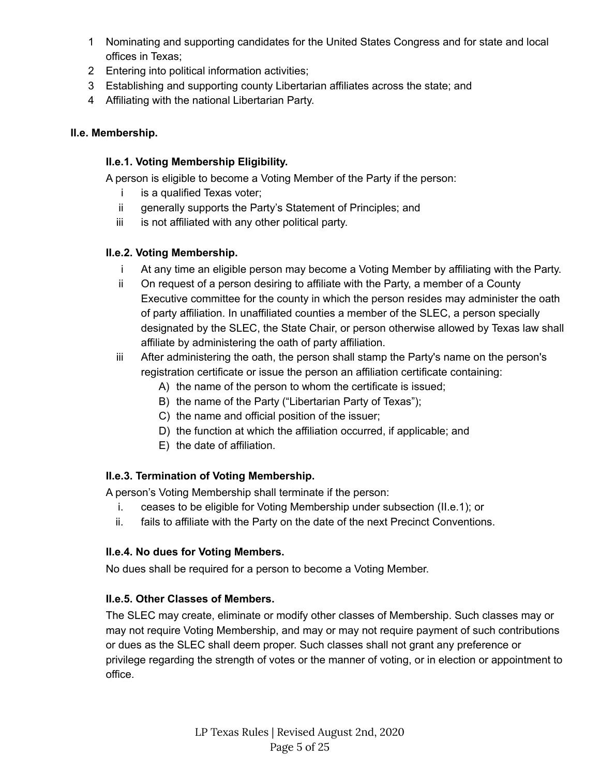- 1 Nominating and supporting candidates for the United States Congress and for state and local offices in Texas;
- 2 Entering into political information activities;
- 3 Establishing and supporting county Libertarian affiliates across the state; and
- 4 Affiliating with the national Libertarian Party.

# <span id="page-4-1"></span><span id="page-4-0"></span>**II.e. Membership.**

# **II.e.1. Voting Membership Eligibility.**

A person is eligible to become a Voting Member of the Party if the person:

- i is a qualified Texas voter;
- ii generally supports the Party's Statement of Principles; and
- iii is not affiliated with any other political party.

# <span id="page-4-2"></span>**II.e.2. Voting Membership.**

- i At any time an eligible person may become a Voting Member by affiliating with the Party.
- ii On request of a person desiring to affiliate with the Party, a member of a County Executive committee for the county in which the person resides may administer the oath of party affiliation. In unaffiliated counties a member of the SLEC, a person specially designated by the SLEC, the State Chair, or person otherwise allowed by Texas law shall affiliate by administering the oath of party affiliation.
- iii After administering the oath, the person shall stamp the Party's name on the person's registration certificate or issue the person an affiliation certificate containing:
	- A) the name of the person to whom the certificate is issued;
	- B) the name of the Party ("Libertarian Party of Texas");
	- C) the name and official position of the issuer;
	- D) the function at which the affiliation occurred, if applicable; and
	- E) the date of affiliation.

# <span id="page-4-3"></span>**II.e.3. Termination of Voting Membership.**

A person's Voting Membership shall terminate if the person:

- i. ceases to be eligible for Voting Membership under subsection (II.e.1); or
- ii. fails to affiliate with the Party on the date of the next Precinct Conventions.

# <span id="page-4-4"></span>**II.e.4. No dues for Voting Members.**

<span id="page-4-5"></span>No dues shall be required for a person to become a Voting Member.

# **II.e.5. Other Classes of Members.**

The SLEC may create, eliminate or modify other classes of Membership. Such classes may or may not require Voting Membership, and may or may not require payment of such contributions or dues as the SLEC shall deem proper. Such classes shall not grant any preference or privilege regarding the strength of votes or the manner of voting, or in election or appointment to office.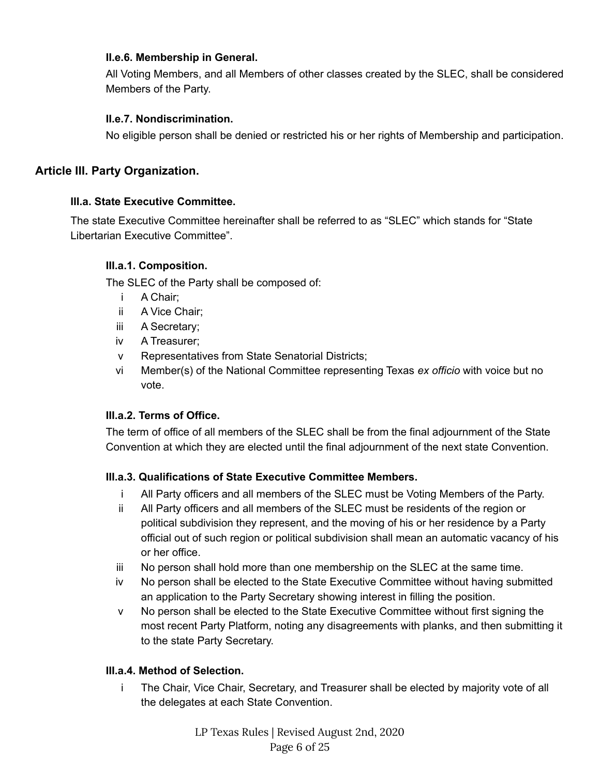#### <span id="page-5-0"></span>**II.e.6. Membership in General.**

All Voting Members, and all Members of other classes created by the SLEC, shall be considered Members of the Party.

#### **II.e.7. Nondiscrimination.**

No eligible person shall be denied or restricted his or her rights of Membership and participation.

#### <span id="page-5-3"></span><span id="page-5-2"></span><span id="page-5-1"></span>**Article III. Party Organization.**

#### **III.a. State Executive Committee.**

<span id="page-5-4"></span>The state Executive Committee hereinafter shall be referred to as "SLEC" which stands for "State Libertarian Executive Committee".

#### **III.a.1. Composition.**

The SLEC of the Party shall be composed of:

- i A Chair;
- ii A Vice Chair;
- iii A Secretary;
- iv A Treasurer;
- v Representatives from State Senatorial Districts;
- vi Member(s) of the National Committee representing Texas *ex officio* with voice but no vote.

#### <span id="page-5-5"></span>**III.a.2. Terms of Office.**

The term of office of all members of the SLEC shall be from the final adjournment of the State Convention at which they are elected until the final adjournment of the next state Convention.

#### <span id="page-5-6"></span>**III.a.3. Qualifications of State Executive Committee Members.**

- i All Party officers and all members of the SLEC must be Voting Members of the Party.
- ii All Party officers and all members of the SLEC must be residents of the region or political subdivision they represent, and the moving of his or her residence by a Party official out of such region or political subdivision shall mean an automatic vacancy of his or her office.
- iii No person shall hold more than one membership on the SLEC at the same time.
- iv No person shall be elected to the State Executive Committee without having submitted an application to the Party Secretary showing interest in filling the position.
- v No person shall be elected to the State Executive Committee without first signing the most recent Party Platform, noting any disagreements with planks, and then submitting it to the state Party Secretary.

#### <span id="page-5-7"></span>**III.a.4. Method of Selection.**

i The Chair, Vice Chair, Secretary, and Treasurer shall be elected by majority vote of all the delegates at each State Convention.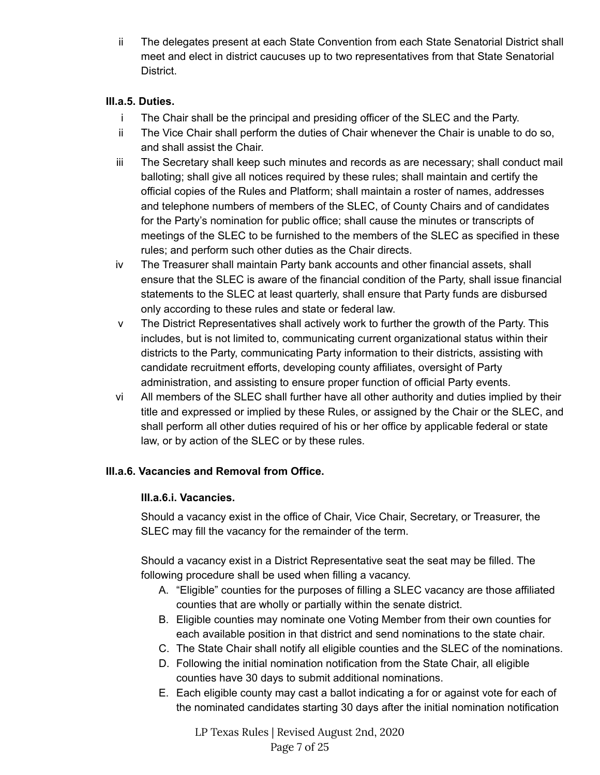ii The delegates present at each State Convention from each State Senatorial District shall meet and elect in district caucuses up to two representatives from that State Senatorial District.

#### <span id="page-6-0"></span>**III.a.5. Duties.**

- i The Chair shall be the principal and presiding officer of the SLEC and the Party.
- ii The Vice Chair shall perform the duties of Chair whenever the Chair is unable to do so, and shall assist the Chair.
- iii The Secretary shall keep such minutes and records as are necessary; shall conduct mail balloting; shall give all notices required by these rules; shall maintain and certify the official copies of the Rules and Platform; shall maintain a roster of names, addresses and telephone numbers of members of the SLEC, of County Chairs and of candidates for the Party's nomination for public office; shall cause the minutes or transcripts of meetings of the SLEC to be furnished to the members of the SLEC as specified in these rules; and perform such other duties as the Chair directs.
- iv The Treasurer shall maintain Party bank accounts and other financial assets, shall ensure that the SLEC is aware of the financial condition of the Party, shall issue financial statements to the SLEC at least quarterly, shall ensure that Party funds are disbursed only according to these rules and state or federal law.
- v The District Representatives shall actively work to further the growth of the Party. This includes, but is not limited to, communicating current organizational status within their districts to the Party, communicating Party information to their districts, assisting with candidate recruitment efforts, developing county affiliates, oversight of Party administration, and assisting to ensure proper function of official Party events.
- vi All members of the SLEC shall further have all other authority and duties implied by their title and expressed or implied by these Rules, or assigned by the Chair or the SLEC, and shall perform all other duties required of his or her office by applicable federal or state law, or by action of the SLEC or by these rules.

# <span id="page-6-2"></span><span id="page-6-1"></span>**III.a.6. Vacancies and Removal from Office.**

#### **III.a.6.i. Vacancies.**

Should a vacancy exist in the office of Chair, Vice Chair, Secretary, or Treasurer, the SLEC may fill the vacancy for the remainder of the term.

Should a vacancy exist in a District Representative seat the seat may be filled. The following procedure shall be used when filling a vacancy.

- A. "Eligible" counties for the purposes of filling a SLEC vacancy are those affiliated counties that are wholly or partially within the senate district.
- B. Eligible counties may nominate one Voting Member from their own counties for each available position in that district and send nominations to the state chair.
- C. The State Chair shall notify all eligible counties and the SLEC of the nominations.
- D. Following the initial nomination notification from the State Chair, all eligible counties have 30 days to submit additional nominations.
- E. Each eligible county may cast a ballot indicating a for or against vote for each of the nominated candidates starting 30 days after the initial nomination notification

LP Texas Rules | Revised August 2nd, 2020 Page 7 of 25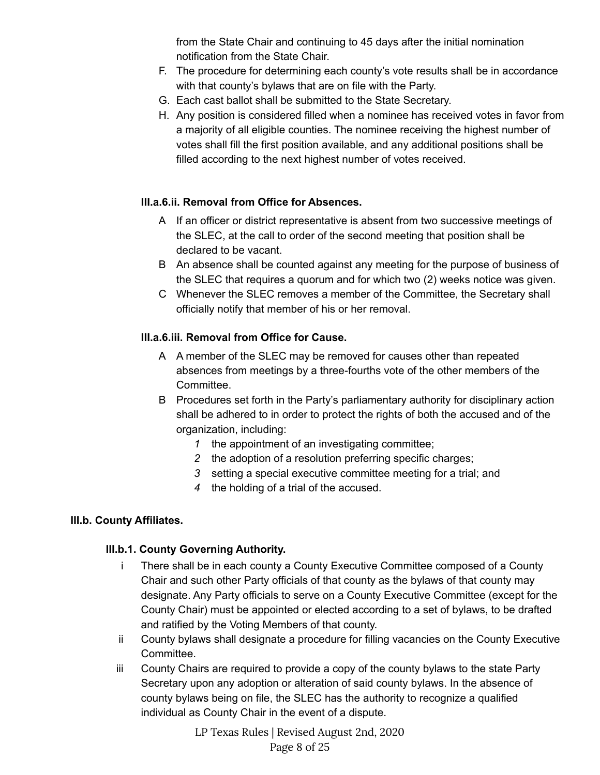from the State Chair and continuing to 45 days after the initial nomination notification from the State Chair.

- F. The procedure for determining each county's vote results shall be in accordance with that county's bylaws that are on file with the Party.
- G. Each cast ballot shall be submitted to the State Secretary.
- H. Any position is considered filled when a nominee has received votes in favor from a majority of all eligible counties. The nominee receiving the highest number of votes shall fill the first position available, and any additional positions shall be filled according to the next highest number of votes received.

# <span id="page-7-0"></span>**III.a.6.ii. Removal from Office for Absences.**

- A If an officer or district representative is absent from two successive meetings of the SLEC, at the call to order of the second meeting that position shall be declared to be vacant.
- B An absence shall be counted against any meeting for the purpose of business of the SLEC that requires a quorum and for which two (2) weeks notice was given.
- C Whenever the SLEC removes a member of the Committee, the Secretary shall officially notify that member of his or her removal.

# <span id="page-7-1"></span>**III.a.6.iii. Removal from Office for Cause.**

- A A member of the SLEC may be removed for causes other than repeated absences from meetings by a three-fourths vote of the other members of the Committee.
- B Procedures set forth in the Party's parliamentary authority for disciplinary action shall be adhered to in order to protect the rights of both the accused and of the organization, including:
	- *1* the appointment of an investigating committee;
	- *2* the adoption of a resolution preferring specific charges;
	- *3* setting a special executive committee meeting for a trial; and
	- *4* the holding of a trial of the accused.

# <span id="page-7-3"></span><span id="page-7-2"></span>**III.b. County Affiliates.**

# **III.b.1. County Governing Authority.**

- i There shall be in each county a County Executive Committee composed of a County Chair and such other Party officials of that county as the bylaws of that county may designate. Any Party officials to serve on a County Executive Committee (except for the County Chair) must be appointed or elected according to a set of bylaws, to be drafted and ratified by the Voting Members of that county.
- ii County bylaws shall designate a procedure for filling vacancies on the County Executive Committee.
- iii County Chairs are required to provide a copy of the county bylaws to the state Party Secretary upon any adoption or alteration of said county bylaws. In the absence of county bylaws being on file, the SLEC has the authority to recognize a qualified individual as County Chair in the event of a dispute.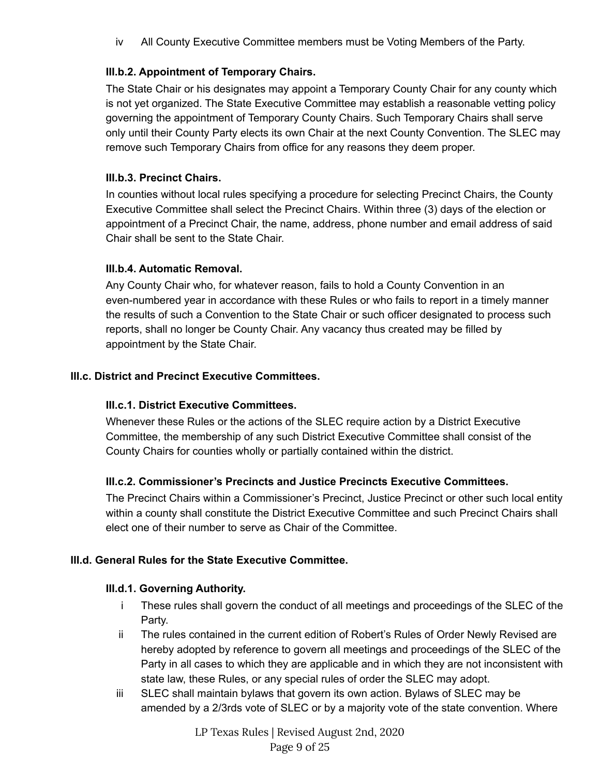iv All County Executive Committee members must be Voting Members of the Party.

### <span id="page-8-0"></span>**III.b.2. Appointment of Temporary Chairs.**

The State Chair or his designates may appoint a Temporary County Chair for any county which is not yet organized. The State Executive Committee may establish a reasonable vetting policy governing the appointment of Temporary County Chairs. Such Temporary Chairs shall serve only until their County Party elects its own Chair at the next County Convention. The SLEC may remove such Temporary Chairs from office for any reasons they deem proper.

### <span id="page-8-1"></span>**III.b.3. Precinct Chairs.**

In counties without local rules specifying a procedure for selecting Precinct Chairs, the County Executive Committee shall select the Precinct Chairs. Within three (3) days of the election or appointment of a Precinct Chair, the name, address, phone number and email address of said Chair shall be sent to the State Chair.

### <span id="page-8-2"></span>**III.b.4. Automatic Removal.**

Any County Chair who, for whatever reason, fails to hold a County Convention in an even-numbered year in accordance with these Rules or who fails to report in a timely manner the results of such a Convention to the State Chair or such officer designated to process such reports, shall no longer be County Chair. Any vacancy thus created may be filled by appointment by the State Chair.

### <span id="page-8-4"></span><span id="page-8-3"></span>**III.c. District and Precinct Executive Committees.**

#### **III.c.1. District Executive Committees.**

Whenever these Rules or the actions of the SLEC require action by a District Executive Committee, the membership of any such District Executive Committee shall consist of the County Chairs for counties wholly or partially contained within the district.

#### <span id="page-8-5"></span>**III.c.2. Commissioner's Precincts and Justice Precincts Executive Committees.**

The Precinct Chairs within a Commissioner's Precinct, Justice Precinct or other such local entity within a county shall constitute the District Executive Committee and such Precinct Chairs shall elect one of their number to serve as Chair of the Committee.

#### <span id="page-8-7"></span><span id="page-8-6"></span>**III.d. General Rules for the State Executive Committee.**

#### **III.d.1. Governing Authority.**

- i These rules shall govern the conduct of all meetings and proceedings of the SLEC of the Party.
- ii The rules contained in the current edition of Robert's Rules of Order Newly Revised are hereby adopted by reference to govern all meetings and proceedings of the SLEC of the Party in all cases to which they are applicable and in which they are not inconsistent with state law, these Rules, or any special rules of order the SLEC may adopt.
- iii SLEC shall maintain bylaws that govern its own action. Bylaws of SLEC may be amended by a 2/3rds vote of SLEC or by a majority vote of the state convention. Where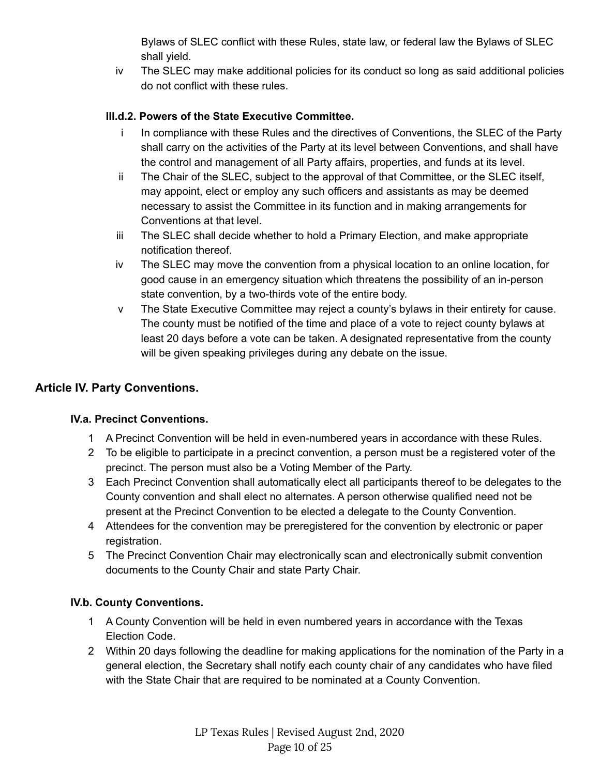Bylaws of SLEC conflict with these Rules, state law, or federal law the Bylaws of SLEC shall yield.

iv The SLEC may make additional policies for its conduct so long as said additional policies do not conflict with these rules.

# <span id="page-9-0"></span>**III.d.2. Powers of the State Executive Committee.**

- i In compliance with these Rules and the directives of Conventions, the SLEC of the Party shall carry on the activities of the Party at its level between Conventions, and shall have the control and management of all Party affairs, properties, and funds at its level.
- ii The Chair of the SLEC, subject to the approval of that Committee, or the SLEC itself, may appoint, elect or employ any such officers and assistants as may be deemed necessary to assist the Committee in its function and in making arrangements for Conventions at that level.
- iii The SLEC shall decide whether to hold a Primary Election, and make appropriate notification thereof.
- iv The SLEC may move the convention from a physical location to an online location, for good cause in an emergency situation which threatens the possibility of an in-person state convention, by a two-thirds vote of the entire body.
- v The State Executive Committee may reject a county's bylaws in their entirety for cause. The county must be notified of the time and place of a vote to reject county bylaws at least 20 days before a vote can be taken. A designated representative from the county will be given speaking privileges during any debate on the issue.

# <span id="page-9-2"></span><span id="page-9-1"></span>**Article IV. Party Conventions.**

#### **IV.a. Precinct Conventions.**

- 1 A Precinct Convention will be held in even-numbered years in accordance with these Rules.
- 2 To be eligible to participate in a precinct convention, a person must be a registered voter of the precinct. The person must also be a Voting Member of the Party.
- 3 Each Precinct Convention shall automatically elect all participants thereof to be delegates to the County convention and shall elect no alternates. A person otherwise qualified need not be present at the Precinct Convention to be elected a delegate to the County Convention.
- 4 Attendees for the convention may be preregistered for the convention by electronic or paper registration.
- 5 The Precinct Convention Chair may electronically scan and electronically submit convention documents to the County Chair and state Party Chair.

# <span id="page-9-3"></span>**IV.b. County Conventions.**

- 1 A County Convention will be held in even numbered years in accordance with the Texas Election Code.
- 2 Within 20 days following the deadline for making applications for the nomination of the Party in a general election, the Secretary shall notify each county chair of any candidates who have filed with the State Chair that are required to be nominated at a County Convention.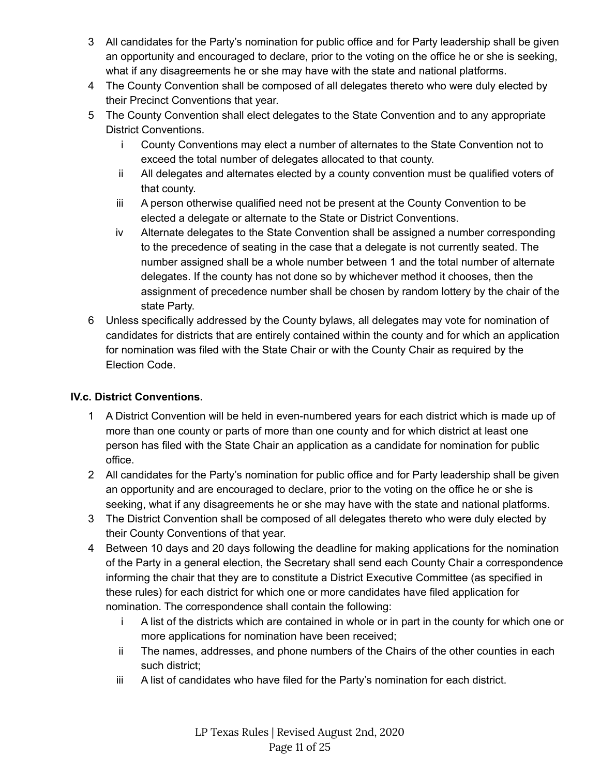- 3 All candidates for the Party's nomination for public office and for Party leadership shall be given an opportunity and encouraged to declare, prior to the voting on the office he or she is seeking, what if any disagreements he or she may have with the state and national platforms.
- 4 The County Convention shall be composed of all delegates thereto who were duly elected by their Precinct Conventions that year.
- 5 The County Convention shall elect delegates to the State Convention and to any appropriate District Conventions.
	- i County Conventions may elect a number of alternates to the State Convention not to exceed the total number of delegates allocated to that county.
	- ii All delegates and alternates elected by a county convention must be qualified voters of that county.
	- iii A person otherwise qualified need not be present at the County Convention to be elected a delegate or alternate to the State or District Conventions.
	- iv Alternate delegates to the State Convention shall be assigned a number corresponding to the precedence of seating in the case that a delegate is not currently seated. The number assigned shall be a whole number between 1 and the total number of alternate delegates. If the county has not done so by whichever method it chooses, then the assignment of precedence number shall be chosen by random lottery by the chair of the state Party.
- 6 Unless specifically addressed by the County bylaws, all delegates may vote for nomination of candidates for districts that are entirely contained within the county and for which an application for nomination was filed with the State Chair or with the County Chair as required by the Election Code.

# <span id="page-10-0"></span>**IV.c. District Conventions.**

- 1 A District Convention will be held in even-numbered years for each district which is made up of more than one county or parts of more than one county and for which district at least one person has filed with the State Chair an application as a candidate for nomination for public office.
- 2 All candidates for the Party's nomination for public office and for Party leadership shall be given an opportunity and are encouraged to declare, prior to the voting on the office he or she is seeking, what if any disagreements he or she may have with the state and national platforms.
- 3 The District Convention shall be composed of all delegates thereto who were duly elected by their County Conventions of that year.
- 4 Between 10 days and 20 days following the deadline for making applications for the nomination of the Party in a general election, the Secretary shall send each County Chair a correspondence informing the chair that they are to constitute a District Executive Committee (as specified in these rules) for each district for which one or more candidates have filed application for nomination. The correspondence shall contain the following:
	- i A list of the districts which are contained in whole or in part in the county for which one or more applications for nomination have been received;
	- ii The names, addresses, and phone numbers of the Chairs of the other counties in each such district;
	- iii A list of candidates who have filed for the Party's nomination for each district.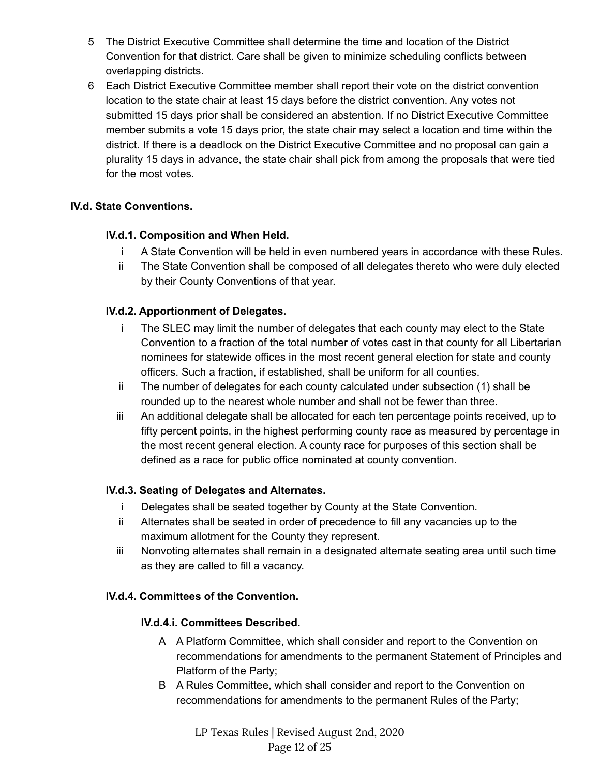- 5 The District Executive Committee shall determine the time and location of the District Convention for that district. Care shall be given to minimize scheduling conflicts between overlapping districts.
- 6 Each District Executive Committee member shall report their vote on the district convention location to the state chair at least 15 days before the district convention. Any votes not submitted 15 days prior shall be considered an abstention. If no District Executive Committee member submits a vote 15 days prior, the state chair may select a location and time within the district. If there is a deadlock on the District Executive Committee and no proposal can gain a plurality 15 days in advance, the state chair shall pick from among the proposals that were tied for the most votes.

### <span id="page-11-1"></span><span id="page-11-0"></span>**IV.d. State Conventions.**

### **IV.d.1. Composition and When Held.**

- i A State Convention will be held in even numbered years in accordance with these Rules.
- ii The State Convention shall be composed of all delegates thereto who were duly elected by their County Conventions of that year.

### <span id="page-11-2"></span>**IV.d.2. Apportionment of Delegates.**

- i The SLEC may limit the number of delegates that each county may elect to the State Convention to a fraction of the total number of votes cast in that county for all Libertarian nominees for statewide offices in the most recent general election for state and county officers. Such a fraction, if established, shall be uniform for all counties.
- ii The number of delegates for each county calculated under subsection (1) shall be rounded up to the nearest whole number and shall not be fewer than three.
- iii An additional delegate shall be allocated for each ten percentage points received, up to fifty percent points, in the highest performing county race as measured by percentage in the most recent general election. A county race for purposes of this section shall be defined as a race for public office nominated at county convention.

#### <span id="page-11-3"></span>**IV.d.3. Seating of Delegates and Alternates.**

- i Delegates shall be seated together by County at the State Convention.
- ii Alternates shall be seated in order of precedence to fill any vacancies up to the maximum allotment for the County they represent.
- iii Nonvoting alternates shall remain in a designated alternate seating area until such time as they are called to fill a vacancy.

#### <span id="page-11-5"></span><span id="page-11-4"></span>**IV.d.4. Committees of the Convention.**

#### **IV.d.4.i. Committees Described.**

- A A Platform Committee, which shall consider and report to the Convention on recommendations for amendments to the permanent Statement of Principles and Platform of the Party;
- B A Rules Committee, which shall consider and report to the Convention on recommendations for amendments to the permanent Rules of the Party;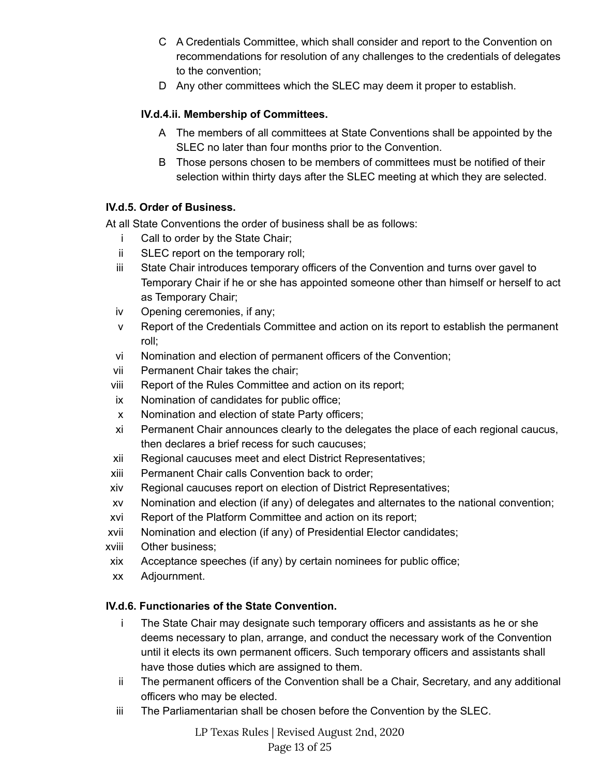- C A Credentials Committee, which shall consider and report to the Convention on recommendations for resolution of any challenges to the credentials of delegates to the convention;
- D Any other committees which the SLEC may deem it proper to establish.

### <span id="page-12-0"></span>**IV.d.4.ii. Membership of Committees.**

- A The members of all committees at State Conventions shall be appointed by the SLEC no later than four months prior to the Convention.
- B Those persons chosen to be members of committees must be notified of their selection within thirty days after the SLEC meeting at which they are selected.

### <span id="page-12-1"></span>**IV.d.5. Order of Business.**

At all State Conventions the order of business shall be as follows:

- i Call to order by the State Chair;
- ii SLEC report on the temporary roll;
- iii State Chair introduces temporary officers of the Convention and turns over gavel to Temporary Chair if he or she has appointed someone other than himself or herself to act as Temporary Chair;
- iv Opening ceremonies, if any;
- v Report of the Credentials Committee and action on its report to establish the permanent roll;
- vi Nomination and election of permanent officers of the Convention;
- vii Permanent Chair takes the chair;
- viii Report of the Rules Committee and action on its report;
- ix Nomination of candidates for public office;
- x Nomination and election of state Party officers;
- xi Permanent Chair announces clearly to the delegates the place of each regional caucus, then declares a brief recess for such caucuses;
- xii Regional caucuses meet and elect District Representatives;
- xiii Permanent Chair calls Convention back to order;
- xiv Regional caucuses report on election of District Representatives;
- xv Nomination and election (if any) of delegates and alternates to the national convention;
- xvi Report of the Platform Committee and action on its report;
- xvii Nomination and election (if any) of Presidential Elector candidates;
- xviii Other business;
- xix Acceptance speeches (if any) by certain nominees for public office;
- xx Adjournment.

# <span id="page-12-2"></span>**IV.d.6. Functionaries of the State Convention.**

- i The State Chair may designate such temporary officers and assistants as he or she deems necessary to plan, arrange, and conduct the necessary work of the Convention until it elects its own permanent officers. Such temporary officers and assistants shall have those duties which are assigned to them.
- ii The permanent officers of the Convention shall be a Chair, Secretary, and any additional officers who may be elected.
- iii The Parliamentarian shall be chosen before the Convention by the SLEC.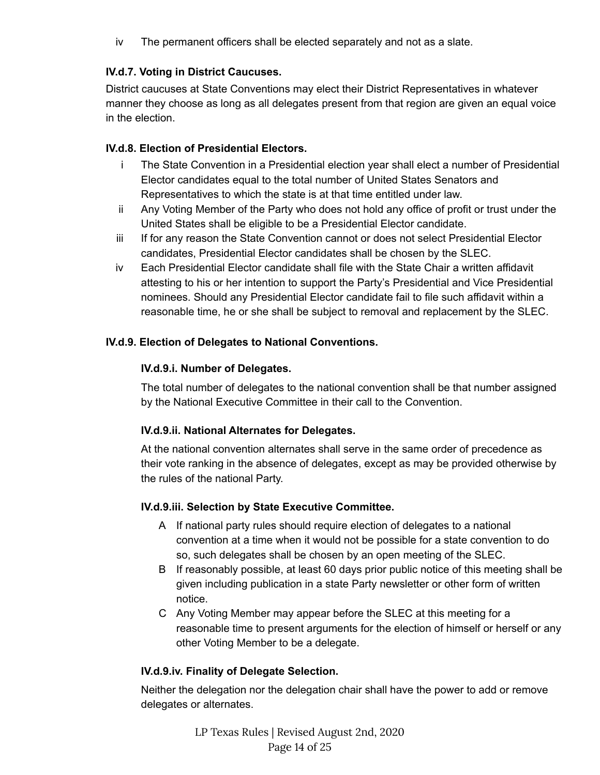iv The permanent officers shall be elected separately and not as a slate.

### <span id="page-13-0"></span>**IV.d.7. Voting in District Caucuses.**

District caucuses at State Conventions may elect their District Representatives in whatever manner they choose as long as all delegates present from that region are given an equal voice in the election.

### <span id="page-13-1"></span>**IV.d.8. Election of Presidential Electors.**

- i The State Convention in a Presidential election year shall elect a number of Presidential Elector candidates equal to the total number of United States Senators and Representatives to which the state is at that time entitled under law.
- ii Any Voting Member of the Party who does not hold any office of profit or trust under the United States shall be eligible to be a Presidential Elector candidate.
- iii If for any reason the State Convention cannot or does not select Presidential Elector candidates, Presidential Elector candidates shall be chosen by the SLEC.
- iv Each Presidential Elector candidate shall file with the State Chair a written affidavit attesting to his or her intention to support the Party's Presidential and Vice Presidential nominees. Should any Presidential Elector candidate fail to file such affidavit within a reasonable time, he or she shall be subject to removal and replacement by the SLEC.

### <span id="page-13-4"></span><span id="page-13-3"></span><span id="page-13-2"></span>**IV.d.9. Election of Delegates to National Conventions.**

#### **IV.d.9.i. Number of Delegates.**

The total number of delegates to the national convention shall be that number assigned by the National Executive Committee in their call to the Convention.

# **IV.d.9.ii. National Alternates for Delegates.**

At the national convention alternates shall serve in the same order of precedence as their vote ranking in the absence of delegates, except as may be provided otherwise by the rules of the national Party.

#### <span id="page-13-5"></span>**IV.d.9.iii. Selection by State Executive Committee.**

- A If national party rules should require election of delegates to a national convention at a time when it would not be possible for a state convention to do so, such delegates shall be chosen by an open meeting of the SLEC.
- B If reasonably possible, at least 60 days prior public notice of this meeting shall be given including publication in a state Party newsletter or other form of written notice.
- C Any Voting Member may appear before the SLEC at this meeting for a reasonable time to present arguments for the election of himself or herself or any other Voting Member to be a delegate.

#### <span id="page-13-6"></span>**IV.d.9.iv. Finality of Delegate Selection.**

Neither the delegation nor the delegation chair shall have the power to add or remove delegates or alternates.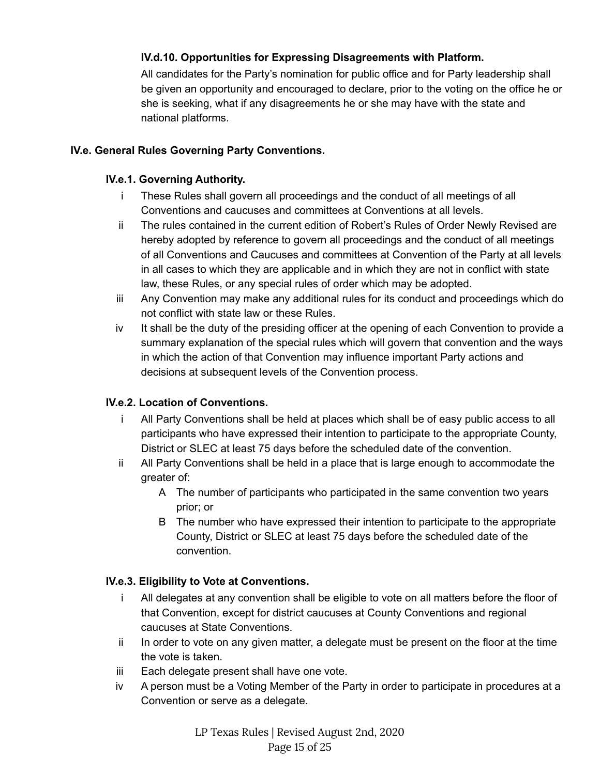# <span id="page-14-0"></span>**IV.d.10. Opportunities for Expressing Disagreements with Platform.**

All candidates for the Party's nomination for public office and for Party leadership shall be given an opportunity and encouraged to declare, prior to the voting on the office he or she is seeking, what if any disagreements he or she may have with the state and national platforms.

#### <span id="page-14-2"></span><span id="page-14-1"></span>**IV.e. General Rules Governing Party Conventions.**

#### **IV.e.1. Governing Authority.**

- i These Rules shall govern all proceedings and the conduct of all meetings of all Conventions and caucuses and committees at Conventions at all levels.
- ii The rules contained in the current edition of Robert's Rules of Order Newly Revised are hereby adopted by reference to govern all proceedings and the conduct of all meetings of all Conventions and Caucuses and committees at Convention of the Party at all levels in all cases to which they are applicable and in which they are not in conflict with state law, these Rules, or any special rules of order which may be adopted.
- iii Any Convention may make any additional rules for its conduct and proceedings which do not conflict with state law or these Rules.
- iv It shall be the duty of the presiding officer at the opening of each Convention to provide a summary explanation of the special rules which will govern that convention and the ways in which the action of that Convention may influence important Party actions and decisions at subsequent levels of the Convention process.

#### <span id="page-14-3"></span>**IV.e.2. Location of Conventions.**

- i All Party Conventions shall be held at places which shall be of easy public access to all participants who have expressed their intention to participate to the appropriate County, District or SLEC at least 75 days before the scheduled date of the convention.
- ii All Party Conventions shall be held in a place that is large enough to accommodate the greater of:
	- A The number of participants who participated in the same convention two years prior; or
	- B The number who have expressed their intention to participate to the appropriate County, District or SLEC at least 75 days before the scheduled date of the convention.

#### <span id="page-14-4"></span>**IV.e.3. Eligibility to Vote at Conventions.**

- i All delegates at any convention shall be eligible to vote on all matters before the floor of that Convention, except for district caucuses at County Conventions and regional caucuses at State Conventions.
- ii In order to vote on any given matter, a delegate must be present on the floor at the time the vote is taken.
- iii Each delegate present shall have one vote.
- iv A person must be a Voting Member of the Party in order to participate in procedures at a Convention or serve as a delegate.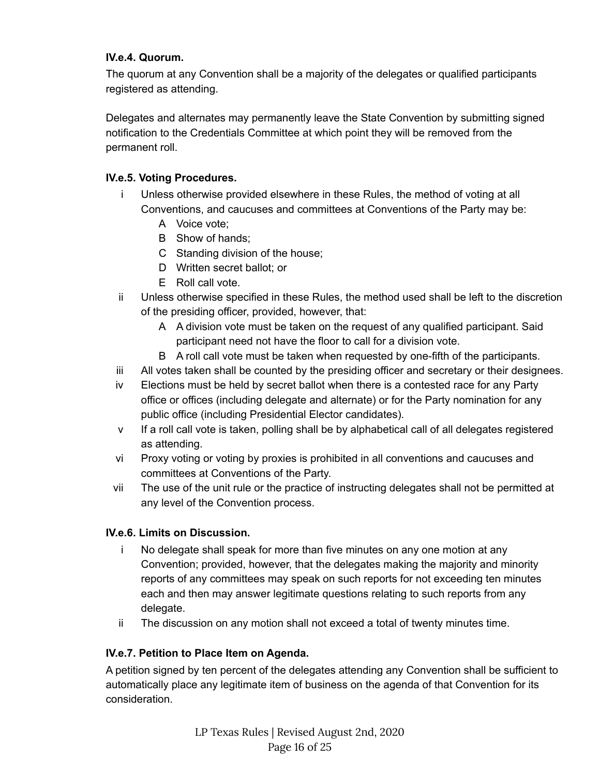#### <span id="page-15-0"></span>**IV.e.4. Quorum.**

The quorum at any Convention shall be a majority of the delegates or qualified participants registered as attending.

Delegates and alternates may permanently leave the State Convention by submitting signed notification to the Credentials Committee at which point they will be removed from the permanent roll.

### <span id="page-15-1"></span>**IV.e.5. Voting Procedures.**

- i Unless otherwise provided elsewhere in these Rules, the method of voting at all Conventions, and caucuses and committees at Conventions of the Party may be:
	- A Voice vote;
	- B Show of hands;
	- C Standing division of the house;
	- D Written secret ballot; or
	- E Roll call vote.
- ii Unless otherwise specified in these Rules, the method used shall be left to the discretion of the presiding officer, provided, however, that:
	- A A division vote must be taken on the request of any qualified participant. Said participant need not have the floor to call for a division vote.
	- B A roll call vote must be taken when requested by one-fifth of the participants.
- iii All votes taken shall be counted by the presiding officer and secretary or their designees.
- iv Elections must be held by secret ballot when there is a contested race for any Party office or offices (including delegate and alternate) or for the Party nomination for any public office (including Presidential Elector candidates).
- v If a roll call vote is taken, polling shall be by alphabetical call of all delegates registered as attending.
- vi Proxy voting or voting by proxies is prohibited in all conventions and caucuses and committees at Conventions of the Party.
- vii The use of the unit rule or the practice of instructing delegates shall not be permitted at any level of the Convention process.

#### <span id="page-15-2"></span>**IV.e.6. Limits on Discussion.**

- i No delegate shall speak for more than five minutes on any one motion at any Convention; provided, however, that the delegates making the majority and minority reports of any committees may speak on such reports for not exceeding ten minutes each and then may answer legitimate questions relating to such reports from any delegate.
- ii The discussion on any motion shall not exceed a total of twenty minutes time.

# <span id="page-15-3"></span>**IV.e.7. Petition to Place Item on Agenda.**

A petition signed by ten percent of the delegates attending any Convention shall be sufficient to automatically place any legitimate item of business on the agenda of that Convention for its consideration.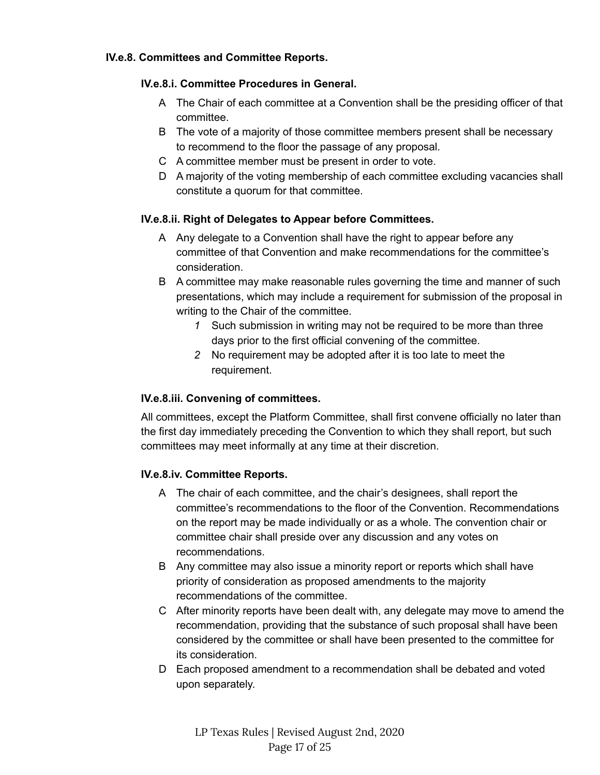#### <span id="page-16-1"></span><span id="page-16-0"></span>**IV.e.8. Committees and Committee Reports.**

#### **IV.e.8.i. Committee Procedures in General.**

- A The Chair of each committee at a Convention shall be the presiding officer of that committee.
- B The vote of a majority of those committee members present shall be necessary to recommend to the floor the passage of any proposal.
- C A committee member must be present in order to vote.
- D A majority of the voting membership of each committee excluding vacancies shall constitute a quorum for that committee.

#### <span id="page-16-2"></span>**IV.e.8.ii. Right of Delegates to Appear before Committees.**

- A Any delegate to a Convention shall have the right to appear before any committee of that Convention and make recommendations for the committee's consideration.
- B A committee may make reasonable rules governing the time and manner of such presentations, which may include a requirement for submission of the proposal in writing to the Chair of the committee.
	- *1* Such submission in writing may not be required to be more than three days prior to the first official convening of the committee.
	- *2* No requirement may be adopted after it is too late to meet the requirement.

#### <span id="page-16-3"></span>**IV.e.8.iii. Convening of committees.**

All committees, except the Platform Committee, shall first convene officially no later than the first day immediately preceding the Convention to which they shall report, but such committees may meet informally at any time at their discretion.

#### <span id="page-16-4"></span>**IV.e.8.iv. Committee Reports.**

- A The chair of each committee, and the chair's designees, shall report the committee's recommendations to the floor of the Convention. Recommendations on the report may be made individually or as a whole. The convention chair or committee chair shall preside over any discussion and any votes on recommendations.
- B Any committee may also issue a minority report or reports which shall have priority of consideration as proposed amendments to the majority recommendations of the committee.
- C After minority reports have been dealt with, any delegate may move to amend the recommendation, providing that the substance of such proposal shall have been considered by the committee or shall have been presented to the committee for its consideration.
- D Each proposed amendment to a recommendation shall be debated and voted upon separately.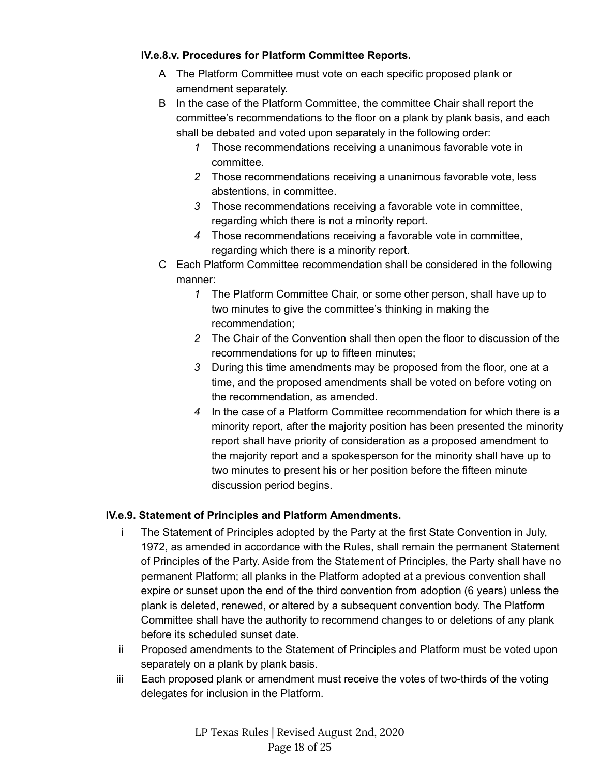### <span id="page-17-0"></span>**IV.e.8.v. Procedures for Platform Committee Reports.**

- A The Platform Committee must vote on each specific proposed plank or amendment separately.
- B In the case of the Platform Committee, the committee Chair shall report the committee's recommendations to the floor on a plank by plank basis, and each shall be debated and voted upon separately in the following order:
	- *1* Those recommendations receiving a unanimous favorable vote in committee.
	- *2* Those recommendations receiving a unanimous favorable vote, less abstentions, in committee.
	- *3* Those recommendations receiving a favorable vote in committee, regarding which there is not a minority report.
	- *4* Those recommendations receiving a favorable vote in committee, regarding which there is a minority report.
- C Each Platform Committee recommendation shall be considered in the following manner:
	- *1* The Platform Committee Chair, or some other person, shall have up to two minutes to give the committee's thinking in making the recommendation;
	- *2* The Chair of the Convention shall then open the floor to discussion of the recommendations for up to fifteen minutes;
	- *3* During this time amendments may be proposed from the floor, one at a time, and the proposed amendments shall be voted on before voting on the recommendation, as amended.
	- *4* In the case of a Platform Committee recommendation for which there is a minority report, after the majority position has been presented the minority report shall have priority of consideration as a proposed amendment to the majority report and a spokesperson for the minority shall have up to two minutes to present his or her position before the fifteen minute discussion period begins.

# <span id="page-17-1"></span>**IV.e.9. Statement of Principles and Platform Amendments.**

- i The Statement of Principles adopted by the Party at the first State Convention in July, 1972, as amended in accordance with the Rules, shall remain the permanent Statement of Principles of the Party. Aside from the Statement of Principles, the Party shall have no permanent Platform; all planks in the Platform adopted at a previous convention shall expire or sunset upon the end of the third convention from adoption (6 years) unless the plank is deleted, renewed, or altered by a subsequent convention body. The Platform Committee shall have the authority to recommend changes to or deletions of any plank before its scheduled sunset date.
- ii Proposed amendments to the Statement of Principles and Platform must be voted upon separately on a plank by plank basis.
- iii Each proposed plank or amendment must receive the votes of two-thirds of the voting delegates for inclusion in the Platform.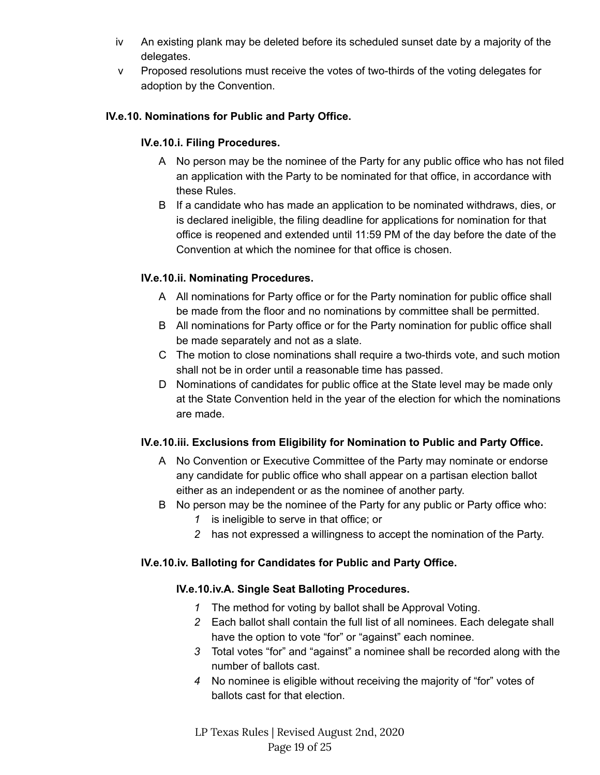- iv An existing plank may be deleted before its scheduled sunset date by a majority of the delegates.
- v Proposed resolutions must receive the votes of two-thirds of the voting delegates for adoption by the Convention.

### <span id="page-18-1"></span><span id="page-18-0"></span>**IV.e.10. Nominations for Public and Party Office.**

#### **IV.e.10.i. Filing Procedures.**

- A No person may be the nominee of the Party for any public office who has not filed an application with the Party to be nominated for that office, in accordance with these Rules.
- B If a candidate who has made an application to be nominated withdraws, dies, or is declared ineligible, the filing deadline for applications for nomination for that office is reopened and extended until 11:59 PM of the day before the date of the Convention at which the nominee for that office is chosen.

### <span id="page-18-2"></span>**IV.e.10.ii. Nominating Procedures.**

- A All nominations for Party office or for the Party nomination for public office shall be made from the floor and no nominations by committee shall be permitted.
- B All nominations for Party office or for the Party nomination for public office shall be made separately and not as a slate.
- C The motion to close nominations shall require a two-thirds vote, and such motion shall not be in order until a reasonable time has passed.
- D Nominations of candidates for public office at the State level may be made only at the State Convention held in the year of the election for which the nominations are made.

#### <span id="page-18-3"></span>**IV.e.10.iii. Exclusions from Eligibility for Nomination to Public and Party Office.**

- A No Convention or Executive Committee of the Party may nominate or endorse any candidate for public office who shall appear on a partisan election ballot either as an independent or as the nominee of another party.
- B No person may be the nominee of the Party for any public or Party office who:
	- *1* is ineligible to serve in that office; or
	- *2* has not expressed a willingness to accept the nomination of the Party.

#### <span id="page-18-5"></span><span id="page-18-4"></span>**IV.e.10.iv. Balloting for Candidates for Public and Party Office.**

#### **IV.e.10.iv.A. Single Seat Balloting Procedures.**

- *1* The method for voting by ballot shall be Approval Voting.
- *2* Each ballot shall contain the full list of all nominees. Each delegate shall have the option to vote "for" or "against" each nominee.
- *3* Total votes "for" and "against" a nominee shall be recorded along with the number of ballots cast.
- *4* No nominee is eligible without receiving the majority of "for" votes of ballots cast for that election.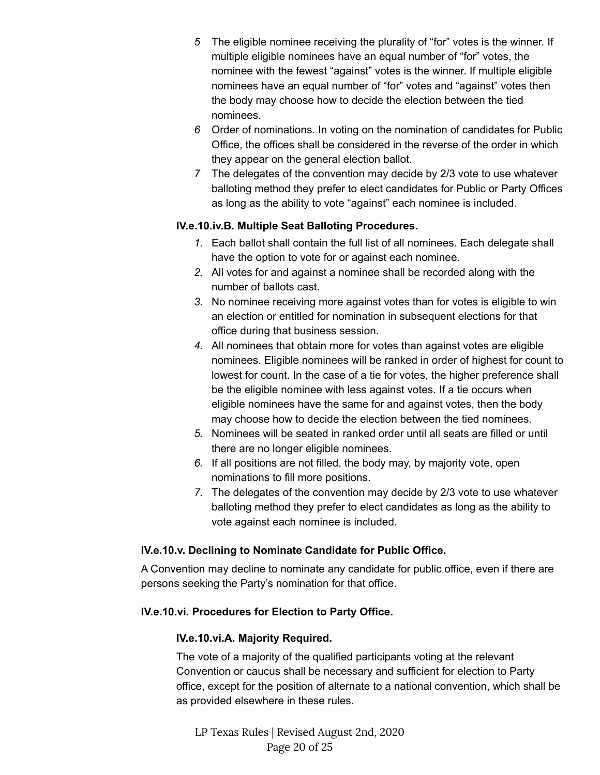- *5* The eligible nominee receiving the plurality of "for" votes is the winner. If multiple eligible nominees have an equal number of "for" votes, the nominee with the fewest "against" votes is the winner. If multiple eligible nominees have an equal number of "for" votes and "against" votes then the body may choose how to decide the election between the tied nominees.
- *6* Order of nominations. In voting on the nomination of candidates for Public Office, the offices shall be considered in the reverse of the order in which they appear on the general election ballot.
- *7* The delegates of the convention may decide by 2/3 vote to use whatever balloting method they prefer to elect candidates for Public or Party Offices as long as the ability to vote "against" each nominee is included.

#### <span id="page-19-0"></span>**IV.e.10.iv.B. Multiple Seat Balloting Procedures.**

- *1.* Each ballot shall contain the full list of all nominees. Each delegate shall have the option to vote for or against each nominee.
- *2.* All votes for and against a nominee shall be recorded along with the number of ballots cast.
- *3.* No nominee receiving more against votes than for votes is eligible to win an election or entitled for nomination in subsequent elections for that office during that business session.
- *4.* All nominees that obtain more for votes than against votes are eligible nominees. Eligible nominees will be ranked in order of highest for count to lowest for count. In the case of a tie for votes, the higher preference shall be the eligible nominee with less against votes. If a tie occurs when eligible nominees have the same for and against votes, then the body may choose how to decide the election between the tied nominees.
- *5.* Nominees will be seated in ranked order until all seats are filled or until there are no longer eligible nominees.
- *6.* If all positions are not filled, the body may, by majority vote, open nominations to fill more positions.
- *7.* The delegates of the convention may decide by 2/3 vote to use whatever balloting method they prefer to elect candidates as long as the ability to vote against each nominee is included.

#### <span id="page-19-1"></span>**IV.e.10.v. Declining to Nominate Candidate for Public Office.**

A Convention may decline to nominate any candidate for public office, even if there are persons seeking the Party's nomination for that office.

#### <span id="page-19-3"></span><span id="page-19-2"></span>**IV.e.10.vi. Procedures for Election to Party Office.**

#### **IV.e.10.vi.A. Majority Required.**

The vote of a majority of the qualified participants voting at the relevant Convention or caucus shall be necessary and sufficient for election to Party office, except for the position of alternate to a national convention, which shall be as provided elsewhere in these rules.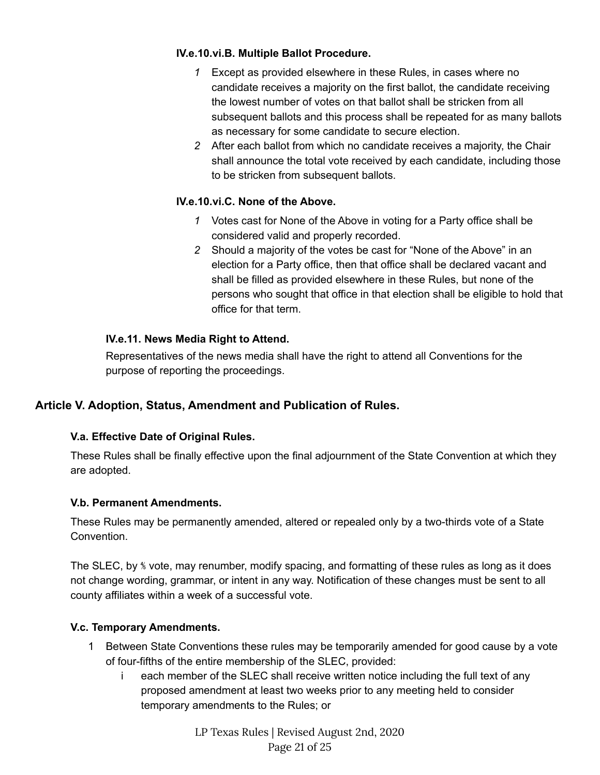#### <span id="page-20-0"></span>**IV.e.10.vi.B. Multiple Ballot Procedure.**

- *1* Except as provided elsewhere in these Rules, in cases where no candidate receives a majority on the first ballot, the candidate receiving the lowest number of votes on that ballot shall be stricken from all subsequent ballots and this process shall be repeated for as many ballots as necessary for some candidate to secure election.
- *2* After each ballot from which no candidate receives a majority, the Chair shall announce the total vote received by each candidate, including those to be stricken from subsequent ballots.

### <span id="page-20-1"></span>**IV.e.10.vi.C. None of the Above.**

- *1* Votes cast for None of the Above in voting for a Party office shall be considered valid and properly recorded.
- *2* Should a majority of the votes be cast for "None of the Above" in an election for a Party office, then that office shall be declared vacant and shall be filled as provided elsewhere in these Rules, but none of the persons who sought that office in that election shall be eligible to hold that office for that term.

### <span id="page-20-2"></span>**IV.e.11. News Media Right to Attend.**

Representatives of the news media shall have the right to attend all Conventions for the purpose of reporting the proceedings.

# <span id="page-20-4"></span><span id="page-20-3"></span>**Article V. Adoption, Status, Amendment and Publication of Rules.**

#### **V.a. Effective Date of Original Rules.**

These Rules shall be finally effective upon the final adjournment of the State Convention at which they are adopted.

#### <span id="page-20-5"></span>**V.b. Permanent Amendments.**

These Rules may be permanently amended, altered or repealed only by a two-thirds vote of a State Convention.

The SLEC, by ⅘ vote, may renumber, modify spacing, and formatting of these rules as long as it does not change wording, grammar, or intent in any way. Notification of these changes must be sent to all county affiliates within a week of a successful vote.

#### <span id="page-20-6"></span>**V.c. Temporary Amendments.**

- 1 Between State Conventions these rules may be temporarily amended for good cause by a vote of four-fifths of the entire membership of the SLEC, provided:
	- i each member of the SLEC shall receive written notice including the full text of any proposed amendment at least two weeks prior to any meeting held to consider temporary amendments to the Rules; or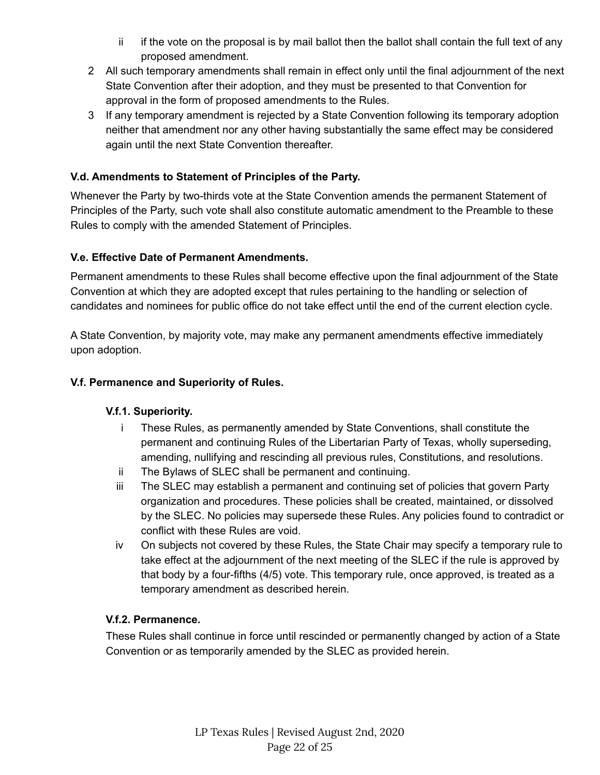- ii if the vote on the proposal is by mail ballot then the ballot shall contain the full text of any proposed amendment.
- 2 All such temporary amendments shall remain in effect only until the final adjournment of the next State Convention after their adoption, and they must be presented to that Convention for approval in the form of proposed amendments to the Rules.
- 3 If any temporary amendment is rejected by a State Convention following its temporary adoption neither that amendment nor any other having substantially the same effect may be considered again until the next State Convention thereafter.

#### <span id="page-21-0"></span>**V.d. Amendments to Statement of Principles of the Party.**

Whenever the Party by two-thirds vote at the State Convention amends the permanent Statement of Principles of the Party, such vote shall also constitute automatic amendment to the Preamble to these Rules to comply with the amended Statement of Principles.

### <span id="page-21-1"></span>**V.e. Effective Date of Permanent Amendments.**

Permanent amendments to these Rules shall become effective upon the final adjournment of the State Convention at which they are adopted except that rules pertaining to the handling or selection of candidates and nominees for public office do not take effect until the end of the current election cycle.

A State Convention, by majority vote, may make any permanent amendments effective immediately upon adoption.

### <span id="page-21-3"></span><span id="page-21-2"></span>**V.f. Permanence and Superiority of Rules.**

#### **V.f.1. Superiority.**

- i These Rules, as permanently amended by State Conventions, shall constitute the permanent and continuing Rules of the Libertarian Party of Texas, wholly superseding, amending, nullifying and rescinding all previous rules, Constitutions, and resolutions.
- ii The Bylaws of SLEC shall be permanent and continuing.
- iii The SLEC may establish a permanent and continuing set of policies that govern Party organization and procedures. These policies shall be created, maintained, or dissolved by the SLEC. No policies may supersede these Rules. Any policies found to contradict or conflict with these Rules are void.
- iv On subjects not covered by these Rules, the State Chair may specify a temporary rule to take effect at the adjournment of the next meeting of the SLEC if the rule is approved by that body by a four-fifths (4/5) vote. This temporary rule, once approved, is treated as a temporary amendment as described herein.

#### <span id="page-21-4"></span>**V.f.2. Permanence.**

These Rules shall continue in force until rescinded or permanently changed by action of a State Convention or as temporarily amended by the SLEC as provided herein.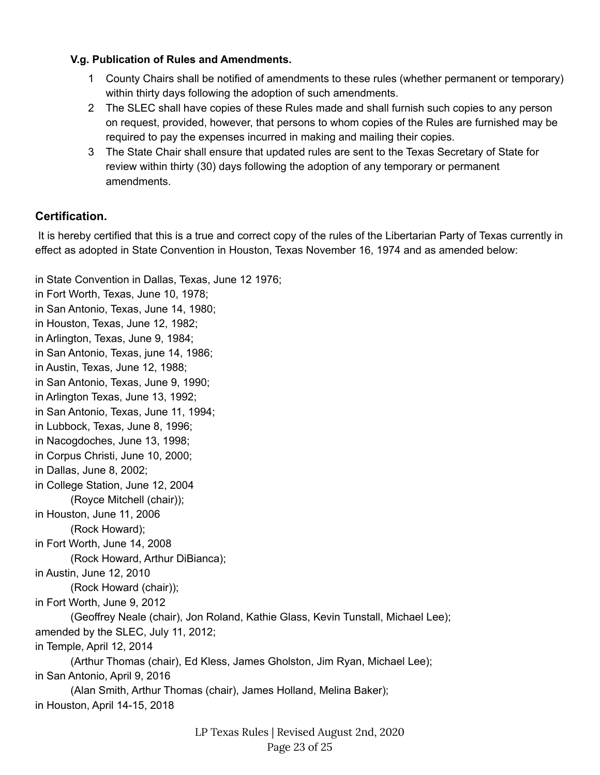#### <span id="page-22-0"></span>**V.g. Publication of Rules and Amendments.**

- 1 County Chairs shall be notified of amendments to these rules (whether permanent or temporary) within thirty days following the adoption of such amendments.
- 2 The SLEC shall have copies of these Rules made and shall furnish such copies to any person on request, provided, however, that persons to whom copies of the Rules are furnished may be required to pay the expenses incurred in making and mailing their copies.
- 3 The State Chair shall ensure that updated rules are sent to the Texas Secretary of State for review within thirty (30) days following the adoption of any temporary or permanent amendments.

### <span id="page-22-1"></span>**Certification.**

It is hereby certified that this is a true and correct copy of the rules of the Libertarian Party of Texas currently in effect as adopted in State Convention in Houston, Texas November 16, 1974 and as amended below:

in State Convention in Dallas, Texas, June 12 1976; in Fort Worth, Texas, June 10, 1978; in San Antonio, Texas, June 14, 1980; in Houston, Texas, June 12, 1982; in Arlington, Texas, June 9, 1984; in San Antonio, Texas, june 14, 1986; in Austin, Texas, June 12, 1988; in San Antonio, Texas, June 9, 1990; in Arlington Texas, June 13, 1992; in San Antonio, Texas, June 11, 1994; in Lubbock, Texas, June 8, 1996; in Nacogdoches, June 13, 1998; in Corpus Christi, June 10, 2000; in Dallas, June 8, 2002; in College Station, June 12, 2004 (Royce Mitchell (chair)); in Houston, June 11, 2006 (Rock Howard); in Fort Worth, June 14, 2008 (Rock Howard, Arthur DiBianca); in Austin, June 12, 2010 (Rock Howard (chair)); in Fort Worth, June 9, 2012 (Geoffrey Neale (chair), Jon Roland, Kathie Glass, Kevin Tunstall, Michael Lee); amended by the SLEC, July 11, 2012; in Temple, April 12, 2014 (Arthur Thomas (chair), Ed Kless, James Gholston, Jim Ryan, Michael Lee); in San Antonio, April 9, 2016 (Alan Smith, Arthur Thomas (chair), James Holland, Melina Baker); in Houston, April 14-15, 2018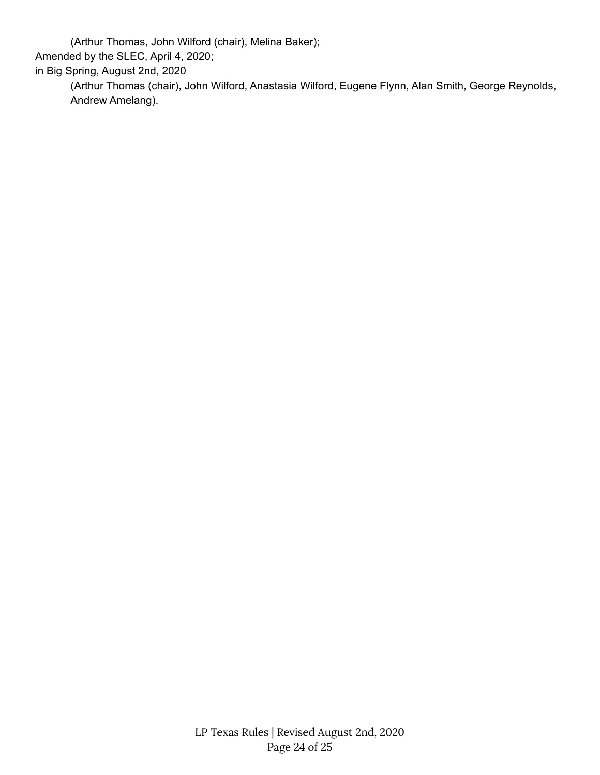(Arthur Thomas, John Wilford (chair), Melina Baker);

Amended by the SLEC, April 4, 2020;

in Big Spring, August 2nd, 2020

(Arthur Thomas (chair), John Wilford, Anastasia Wilford, Eugene Flynn, Alan Smith, George Reynolds, Andrew Amelang).